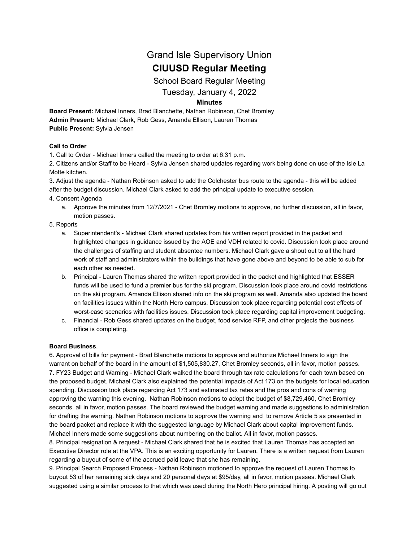# Grand Isle Supervisory Union **CIUUSD Regular Meeting**

School Board Regular Meeting

Tuesday, January 4, 2022

## **Minutes**

**Board Present:** Michael Inners, Brad Blanchette, Nathan Robinson, Chet Bromley **Admin Present:** Michael Clark, Rob Gess, Amanda Ellison, Lauren Thomas **Public Present:** Sylvia Jensen

### **Call to Order**

1. Call to Order - Michael Inners called the meeting to order at 6:31 p.m.

2. Citizens and/or Staff to be Heard - Sylvia Jensen shared updates regarding work being done on use of the Isle La Motte kitchen.

3. Adjust the agenda - Nathan Robinson asked to add the Colchester bus route to the agenda - this will be added after the budget discussion. Michael Clark asked to add the principal update to executive session.

#### 4. Consent Agenda

a. Approve the minutes from 12/7/2021 - Chet Bromley motions to approve, no further discussion, all in favor, motion passes.

#### 5. Reports

- a. Superintendent's Michael Clark shared updates from his written report provided in the packet and highlighted changes in guidance issued by the AOE and VDH related to covid. Discussion took place around the challenges of staffing and student absentee numbers. Michael Clark gave a shout out to all the hard work of staff and administrators within the buildings that have gone above and beyond to be able to sub for each other as needed.
- b. Principal Lauren Thomas shared the written report provided in the packet and highlighted that ESSER funds will be used to fund a premier bus for the ski program. Discussion took place around covid restrictions on the ski program. Amanda Ellison shared info on the ski program as well. Amanda also updated the board on facilities issues within the North Hero campus. Discussion took place regarding potential cost effects of worst-case scenarios with facilities issues. Discussion took place regarding capital improvement budgeting.
- c. Financial Rob Gess shared updates on the budget, food service RFP, and other projects the business office is completing.

### **Board Business**.

6. Approval of bills for payment - Brad Blanchette motions to approve and authorize Michael Inners to sign the warrant on behalf of the board in the amount of \$1,505,830.27, Chet Bromley seconds, all in favor, motion passes. 7. FY23 Budget and Warning - Michael Clark walked the board through tax rate calculations for each town based on the proposed budget. Michael Clark also explained the potential impacts of Act 173 on the budgets for local education spending. Discussion took place regarding Act 173 and estimated tax rates and the pros and cons of warning approving the warning this evening. Nathan Robinson motions to adopt the budget of \$8,729,460, Chet Bromley seconds, all in favor, motion passes. The board reviewed the budget warning and made suggestions to administration for drafting the warning. Nathan Robinson motions to approve the warning and to remove Article 5 as presented in the board packet and replace it with the suggested language by Michael Clark about capital improvement funds. Michael Inners made some suggestions about numbering on the ballot. All in favor, motion passes.

8. Principal resignation & request - Michael Clark shared that he is excited that Lauren Thomas has accepted an Executive Director role at the VPA. This is an exciting opportunity for Lauren. There is a written request from Lauren regarding a buyout of some of the accrued paid leave that she has remaining.

9. Principal Search Proposed Process - Nathan Robinson motioned to approve the request of Lauren Thomas to buyout 53 of her remaining sick days and 20 personal days at \$95/day, all in favor, motion passes. Michael Clark suggested using a similar process to that which was used during the North Hero principal hiring. A posting will go out